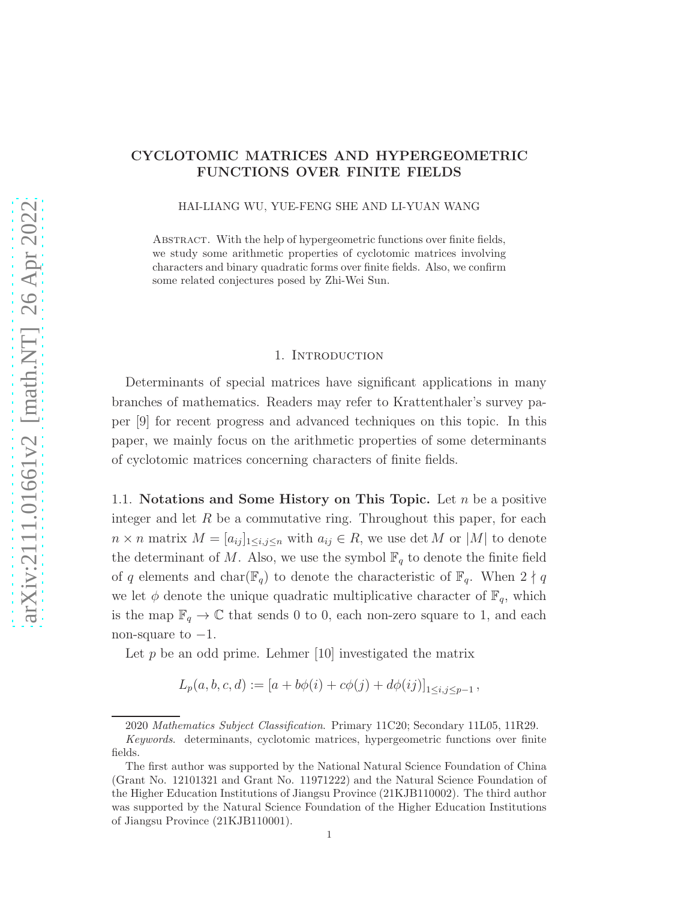# CYCLOTOMIC MATRICES AND HYPERGEOMETRIC FUNCTIONS OVER FINITE FIELDS

HAI-LIANG WU, YUE-FENG SHE AND LI-YUAN WANG

ABSTRACT. With the help of hypergeometric functions over finite fields, we study some arithmetic properties of cyclotomic matrices involving characters and binary quadratic forms over finite fields. Also, we confirm some related conjectures posed by Zhi-Wei Sun.

### 1. INTRODUCTION

Determinants of special matrices have significant applications in many branches of mathematics. Readers may refer to Krattenthaler's survey paper [9] for recent progress and advanced techniques on this topic. In this paper, we mainly focus on the arithmetic properties of some determinants of cyclotomic matrices concerning characters of finite fields.

1.1. Notations and Some History on This Topic. Let  $n$  be a positive integer and let  $R$  be a commutative ring. Throughout this paper, for each  $n \times n$  matrix  $M = [a_{ij}]_{1 \le i,j \le n}$  with  $a_{ij} \in R$ , we use det M or |M| to denote the determinant of M. Also, we use the symbol  $\mathbb{F}_q$  to denote the finite field of q elements and char( $\mathbb{F}_q$ ) to denote the characteristic of  $\mathbb{F}_q$ . When  $2 \nmid q$ we let  $\phi$  denote the unique quadratic multiplicative character of  $\mathbb{F}_q$ , which is the map  $\mathbb{F}_q \to \mathbb{C}$  that sends 0 to 0, each non-zero square to 1, and each non-square to  $-1$ .

Let  $p$  be an odd prime. Lehmer [10] investigated the matrix

$$
L_p(a, b, c, d) := [a + b\phi(i) + c\phi(j) + d\phi(ij)]_{1 \le i, j \le p-1},
$$

<sup>2020</sup> Mathematics Subject Classification. Primary 11C20; Secondary 11L05, 11R29.

Keywords. determinants, cyclotomic matrices, hypergeometric functions over finite fields.

The first author was supported by the National Natural Science Foundation of China (Grant No. 12101321 and Grant No. 11971222) and the Natural Science Foundation of the Higher Education Institutions of Jiangsu Province (21KJB110002). The third author was supported by the Natural Science Foundation of the Higher Education Institutions of Jiangsu Province (21KJB110001).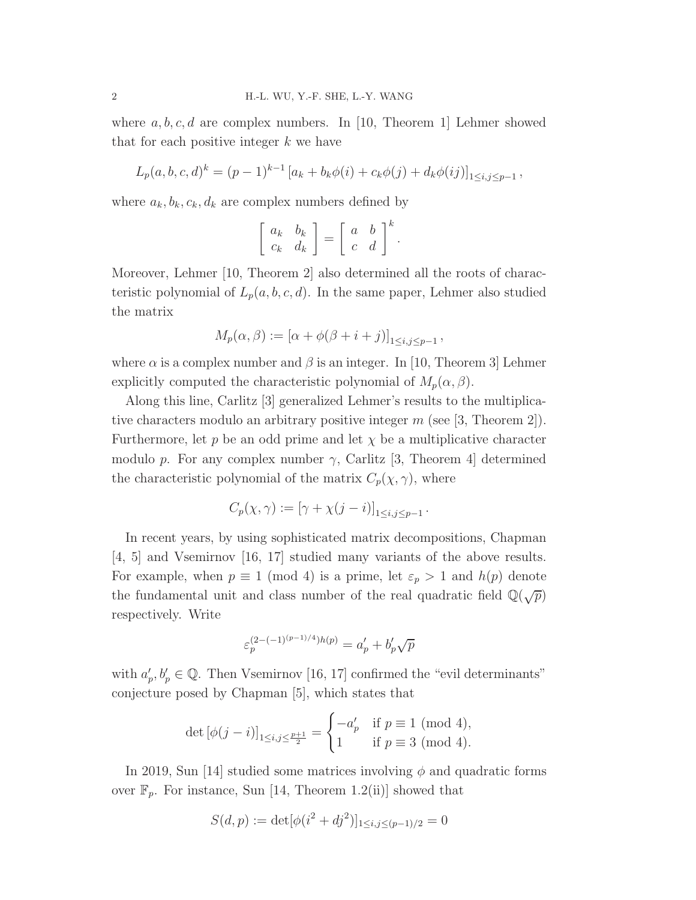where  $a, b, c, d$  are complex numbers. In [10, Theorem 1] Lehmer showed that for each positive integer  $k$  we have

$$
L_p(a, b, c, d)^k = (p - 1)^{k-1} [a_k + b_k \phi(i) + c_k \phi(j) + d_k \phi(ij)]_{1 \le i, j \le p-1},
$$

where  $a_k, b_k, c_k, d_k$  are complex numbers defined by

$$
\left[\begin{array}{cc} a_k & b_k \\ c_k & d_k \end{array}\right] = \left[\begin{array}{cc} a & b \\ c & d \end{array}\right]^k.
$$

Moreover, Lehmer [10, Theorem 2] also determined all the roots of characteristic polynomial of  $L_p(a, b, c, d)$ . In the same paper, Lehmer also studied the matrix

$$
M_p(\alpha, \beta) := [\alpha + \phi(\beta + i + j)]_{1 \le i, j \le p-1},
$$

where  $\alpha$  is a complex number and  $\beta$  is an integer. In [10, Theorem 3] Lehmer explicitly computed the characteristic polynomial of  $M_p(\alpha, \beta)$ .

Along this line, Carlitz [3] generalized Lehmer's results to the multiplicative characters modulo an arbitrary positive integer  $m$  (see [3, Theorem 2]). Furthermore, let p be an odd prime and let  $\chi$  be a multiplicative character modulo p. For any complex number  $\gamma$ , Carlitz [3, Theorem 4] determined the characteristic polynomial of the matrix  $C_p(\chi, \gamma)$ , where

$$
C_p(\chi,\gamma) := [\gamma + \chi(j-i)]_{1 \le i,j \le p-1}.
$$

In recent years, by using sophisticated matrix decompositions, Chapman [4, 5] and Vsemirnov [16, 17] studied many variants of the above results. For example, when  $p \equiv 1 \pmod{4}$  is a prime, let  $\varepsilon_p > 1$  and  $h(p)$  denote the fundamental unit and class number of the real quadratic field  $\mathbb{Q}(\sqrt{p})$ respectively. Write

$$
\varepsilon_p^{(2-(-1)^{(p-1)/4})h(p)} = a'_p + b'_p \sqrt{p}
$$

with  $a'_p, b'_p \in \mathbb{Q}$ . Then Vsemirnov [16, 17] confirmed the "evil determinants" conjecture posed by Chapman [5], which states that

$$
\det [\phi(j - i)]_{1 \le i, j \le \frac{p+1}{2}} = \begin{cases} -a'_p & \text{if } p \equiv 1 \pmod{4}, \\ 1 & \text{if } p \equiv 3 \pmod{4}. \end{cases}
$$

In 2019, Sun [14] studied some matrices involving  $\phi$  and quadratic forms over  $\mathbb{F}_p$ . For instance, Sun [14, Theorem 1.2(ii)] showed that

$$
S(d, p) := \det[\phi(i^2 + dj^2)]_{1 \le i, j \le (p-1)/2} = 0
$$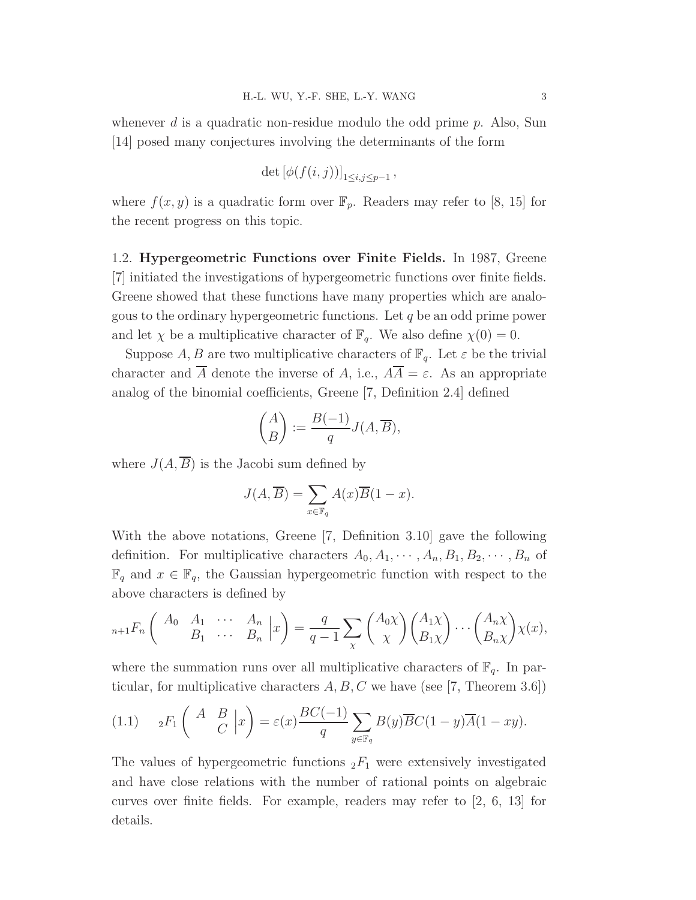whenever d is a quadratic non-residue modulo the odd prime  $p$ . Also, Sun [14] posed many conjectures involving the determinants of the form

$$
\det\left[\phi(f(i,j))\right]_{1\leq i,j\leq p-1},\,
$$

where  $f(x, y)$  is a quadratic form over  $\mathbb{F}_p$ . Readers may refer to [8, 15] for the recent progress on this topic.

1.2. Hypergeometric Functions over Finite Fields. In 1987, Greene [7] initiated the investigations of hypergeometric functions over finite fields. Greene showed that these functions have many properties which are analogous to the ordinary hypergeometric functions. Let  $q$  be an odd prime power and let  $\chi$  be a multiplicative character of  $\mathbb{F}_q$ . We also define  $\chi(0) = 0$ .

Suppose A, B are two multiplicative characters of  $\mathbb{F}_q$ . Let  $\varepsilon$  be the trivial character and  $\overline{A}$  denote the inverse of A, i.e.,  $A\overline{A} = \varepsilon$ . As an appropriate analog of the binomial coefficients, Greene [7, Definition 2.4] defined

$$
\binom{A}{B} := \frac{B(-1)}{q} J(A, \overline{B}),
$$

where  $J(A, \overline{B})$  is the Jacobi sum defined by

$$
J(A, \overline{B}) = \sum_{x \in \mathbb{F}_q} A(x) \overline{B}(1-x).
$$

With the above notations, Greene [7, Definition 3.10] gave the following definition. For multiplicative characters  $A_0, A_1, \cdots, A_n, B_1, B_2, \cdots, B_n$  of  $\mathbb{F}_q$  and  $x \in \mathbb{F}_q$ , the Gaussian hypergeometric function with respect to the above characters is defined by

$$
{}_{n+1}F_n\left(\begin{array}{cccc} A_0 & A_1 & \cdots & A_n \\ B_1 & \cdots & B_n \end{array} \bigg| x\right) = \frac{q}{q-1} \sum_{\chi} \binom{A_0 \chi}{\chi} \binom{A_1 \chi}{B_1 \chi} \cdots \binom{A_n \chi}{B_n \chi} \chi(x),
$$

where the summation runs over all multiplicative characters of  $\mathbb{F}_q$ . In particular, for multiplicative characters  $A, B, C$  we have (see [7, Theorem 3.6])

$$
(1.1) \t {}_2F_1\left(\begin{array}{cc} A & B \\ C & \end{array}\bigg|x\right) = \varepsilon(x) \frac{BC(-1)}{q} \sum_{y \in \mathbb{F}_q} B(y) \overline{B} C (1-y) \overline{A} (1 - xy).
$$

The values of hypergeometric functions  ${}_2F_1$  were extensively investigated and have close relations with the number of rational points on algebraic curves over finite fields. For example, readers may refer to  $\left[2, 6, 13\right]$  for details.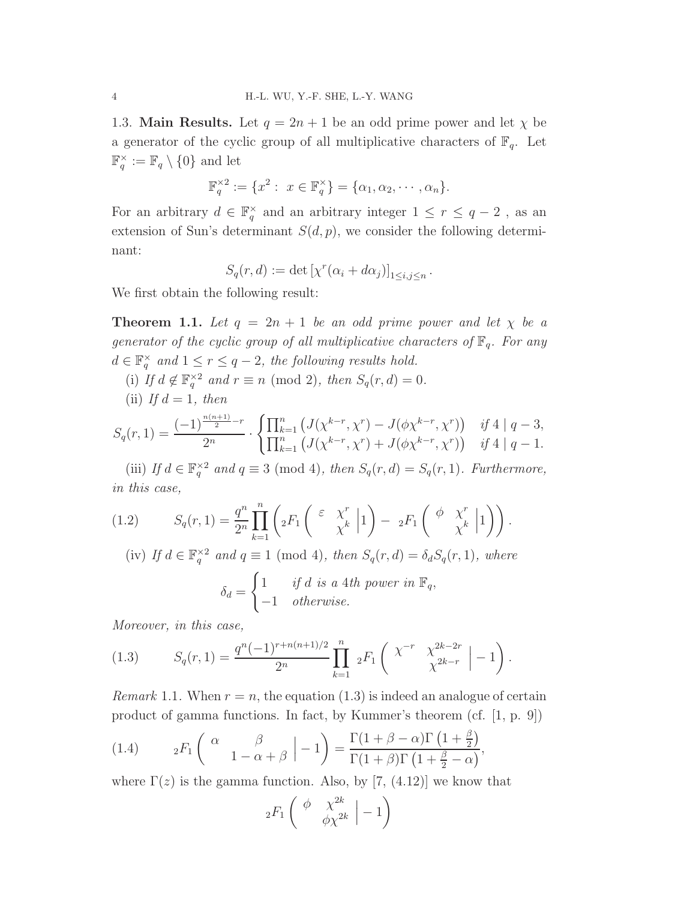1.3. **Main Results.** Let  $q = 2n + 1$  be an odd prime power and let  $\chi$  be a generator of the cyclic group of all multiplicative characters of  $\mathbb{F}_q$ . Let  $\mathbb{F}_q^{\times} := \mathbb{F}_q \setminus \{0\}$  and let

$$
\mathbb{F}_q^{\times 2} := \{x^2 : x \in \mathbb{F}_q^{\times}\} = \{\alpha_1, \alpha_2, \cdots, \alpha_n\}.
$$

For an arbitrary  $d \in \mathbb{F}_q^{\times}$  and an arbitrary integer  $1 \leq r \leq q-2$ , as an extension of Sun's determinant  $S(d, p)$ , we consider the following determinant:

$$
S_q(r, d) := \det \left[ \chi^r(\alpha_i + d\alpha_j) \right]_{1 \le i, j \le n}.
$$

We first obtain the following result:

**Theorem 1.1.** Let  $q = 2n + 1$  be an odd prime power and let  $\chi$  be a generator of the cyclic group of all multiplicative characters of  $\mathbb{F}_q$ . For any  $d \in \mathbb{F}_q^{\times}$  and  $1 \leq r \leq q-2$ , the following results hold.

- (i) If  $d \notin \mathbb{F}_q^{\times 2}$  and  $r \equiv n \pmod{2}$ , then  $S_q(r, d) = 0$ .
- (ii) If  $d = 1$ , then

$$
S_q(r,1) = \frac{(-1)^{\frac{n(n+1)}{2}-r}}{2^n} \cdot \begin{cases} \prod_{k=1}^n \left( J(\chi^{k-r}, \chi^r) - J(\phi \chi^{k-r}, \chi^r) \right) & \text{if } 4 \mid q-3, \\ \prod_{k=1}^n \left( J(\chi^{k-r}, \chi^r) + J(\phi \chi^{k-r}, \chi^r) \right) & \text{if } 4 \mid q-1. \end{cases}
$$

(iii) If  $d \in \mathbb{F}_q^{\times 2}$  and  $q \equiv 3 \pmod{4}$ , then  $S_q(r, d) = S_q(r, 1)$ . Furthermore, in this case,

(1.2) 
$$
S_q(r,1) = \frac{q^n}{2^n} \prod_{k=1}^n \left( {}_2F_1 \left( \begin{array}{cc} \varepsilon & \chi^r \\ \chi^k \end{array} \Big| 1 \right) - {}_2F_1 \left( \begin{array}{cc} \phi & \chi^r \\ \chi^k \end{array} \Big| 1 \right) \right).
$$

(iv) If  $d \in \mathbb{F}_q^{\times 2}$  and  $q \equiv 1 \pmod{4}$ , then  $S_q(r, d) = \delta_d S_q(r, 1)$ , where

$$
\delta_d = \begin{cases} 1 & \text{if } d \text{ is a 4th power in } \mathbb{F}_q, \\ -1 & \text{otherwise.} \end{cases}
$$

Moreover, in this case,

(1.3) 
$$
S_q(r,1) = \frac{q^n(-1)^{r+n(n+1)/2}}{2^n} \prod_{k=1}^n 2F_1\left(\begin{array}{cc} \chi^{-r} & \chi^{2k-2r} \\ \chi^{2k-r} & -1 \end{array}\Big| -1\right).
$$

*Remark* 1.1. When  $r = n$ , the equation (1.3) is indeed an analogue of certain product of gamma functions. In fact, by Kummer's theorem (cf. [1, p. 9])

(1.4) 
$$
{}_2F_1\left(\begin{array}{cc} \alpha & \beta \\ & 1-\alpha+\beta \end{array} \middle| -1 \right) = \frac{\Gamma(1+\beta-\alpha)\Gamma(1+\frac{\beta}{2})}{\Gamma(1+\beta)\Gamma(1+\frac{\beta}{2}-\alpha)},
$$

where  $\Gamma(z)$  is the gamma function. Also, by [7, (4.12)] we know that

$$
{}_2F_1\left(\begin{array}{cc} \phi & \chi^{2k} \\ & \phi\chi^{2k} \end{array} \big| -1\right)
$$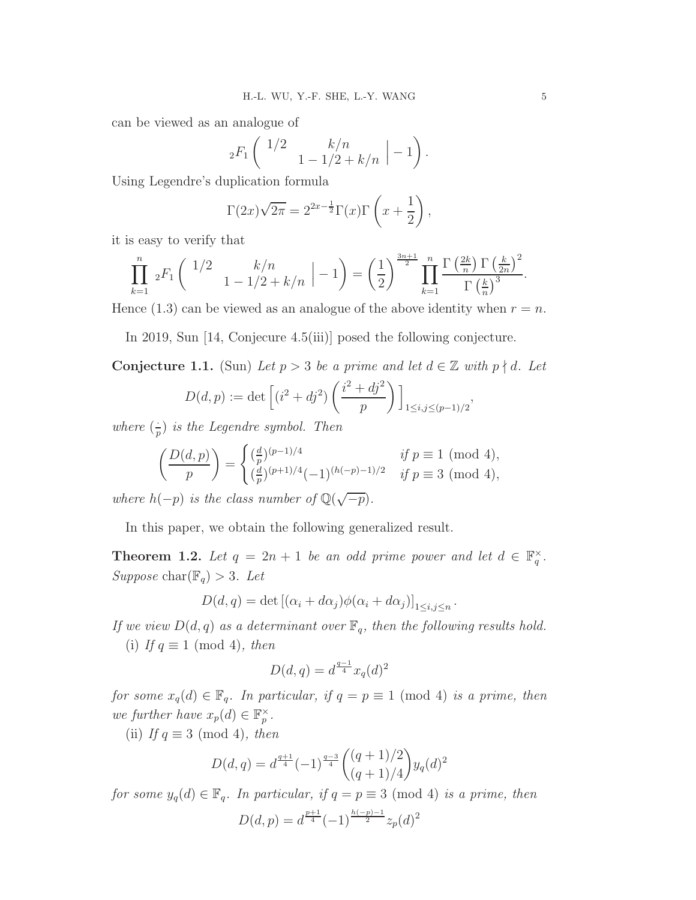can be viewed as an analogue of

$$
{}_{2}F_{1}\left(\begin{array}{c} 1/2 \\ 1 - 1/2 + k/n \end{array} \big| - 1\right).
$$

Using Legendre's duplication formula

$$
\Gamma(2x)\sqrt{2\pi} = 2^{2x-\frac{1}{2}}\Gamma(x)\Gamma\left(x+\frac{1}{2}\right),\,
$$

it is easy to verify that

$$
\prod_{k=1}^{n} 2F_1 \begin{pmatrix} 1/2 & k/n \\ 1 - 1/2 + k/n \end{pmatrix} - 1 \begin{pmatrix} 1 \\ 2 \end{pmatrix} \prod_{k=1}^{3n+1} \prod_{k=1}^{n} \frac{\Gamma\left(\frac{2k}{n}\right) \Gamma\left(\frac{k}{2n}\right)^2}{\Gamma\left(\frac{k}{n}\right)^3}.
$$

Hence  $(1.3)$  can be viewed as an analogue of the above identity when  $r = n$ .

In 2019, Sun [14, Conjecure 4.5(iii)] posed the following conjecture.

Conjecture 1.1. (Sun) Let  $p > 3$  be a prime and let  $d \in \mathbb{Z}$  with  $p \nmid d$ . Let

$$
D(d, p) := \det \left[ (i^2 + dj^2) \left( \frac{i^2 + dj^2}{p} \right) \right]_{1 \le i, j \le (p-1)/2},
$$

where  $\left(\frac{1}{r}\right)$  $\frac{1}{p}$ ) is the Legendre symbol. Then

$$
\left(\frac{D(d,p)}{p}\right) = \begin{cases}\n\left(\frac{d}{p}\right)^{(p-1)/4} & \text{if } p \equiv 1 \pmod{4}, \\
\left(\frac{d}{p}\right)^{(p+1)/4}(-1)^{(h(-p)-1)/2} & \text{if } p \equiv 3 \pmod{4},\n\end{cases}
$$

where  $h(-p)$  is the class number of  $\mathbb{Q}(\sqrt{-p})$ .

In this paper, we obtain the following generalized result.

**Theorem 1.2.** Let  $q = 2n + 1$  be an odd prime power and let  $d \in \mathbb{F}_q^{\times}$ . Suppose char( $\mathbb{F}_q$ ) > 3. Let

$$
D(d, q) = \det \left[ (\alpha_i + d\alpha_j) \phi(\alpha_i + d\alpha_j) \right]_{1 \le i, j \le n}.
$$

If we view  $D(d, q)$  as a determinant over  $\mathbb{F}_q$ , then the following results hold. (i) If  $q \equiv 1 \pmod{4}$ , then

$$
D(d, q) = d^{\frac{q-1}{4}} x_q(d)^2
$$

for some  $x_q(d) \in \mathbb{F}_q$ . In particular, if  $q = p \equiv 1 \pmod{4}$  is a prime, then we further have  $x_p(d) \in \mathbb{F}_p^{\times}$ .

(ii) If  $q \equiv 3 \pmod{4}$ , then

$$
D(d,q) = d^{\frac{q+1}{4}}(-1)^{\frac{q-3}{4}} \binom{(q+1)/2}{(q+1)/4} y_q(d)^2
$$

for some  $y_q(d) \in \mathbb{F}_q$ . In particular, if  $q = p \equiv 3 \pmod{4}$  is a prime, then

$$
D(d, p) = d^{\frac{p+1}{4}} (-1)^{\frac{h(-p)-1}{2}} z_p(d)^2
$$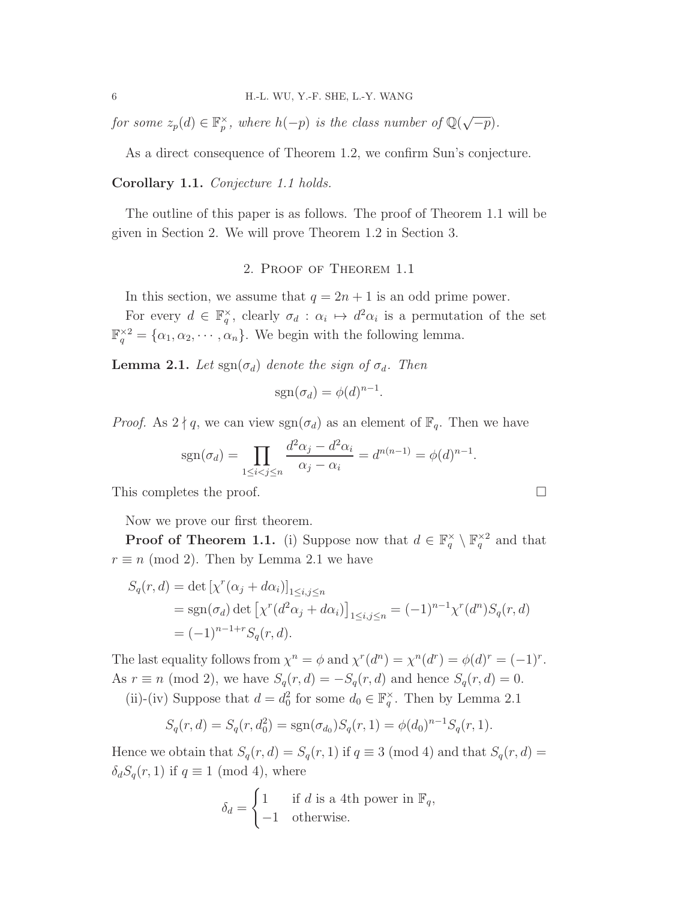for some  $z_p(d) \in \mathbb{F}_p^{\times}$ , where  $h(-p)$  is the class number of  $\mathbb{Q}(\sqrt{-p})$ .

As a direct consequence of Theorem 1.2, we confirm Sun's conjecture.

## Corollary 1.1. Conjecture 1.1 holds.

The outline of this paper is as follows. The proof of Theorem 1.1 will be given in Section 2. We will prove Theorem 1.2 in Section 3.

# 2. Proof of Theorem 1.1

In this section, we assume that  $q = 2n + 1$  is an odd prime power.

For every  $d \in \mathbb{F}_q^{\times}$ , clearly  $\sigma_d : \alpha_i \mapsto d^2 \alpha_i$  is a permutation of the set  $\mathbb{F}_q^{\times 2} = {\alpha_1, \alpha_2, \cdots, \alpha_n}.$  We begin with the following lemma.

**Lemma 2.1.** Let  $\text{sgn}(\sigma_d)$  denote the sign of  $\sigma_d$ . Then

$$
sgn(\sigma_d) = \phi(d)^{n-1}.
$$

*Proof.* As  $2 \nmid q$ , we can view  $sgn(\sigma_d)$  as an element of  $\mathbb{F}_q$ . Then we have

$$
sgn(\sigma_d) = \prod_{1 \le i < j \le n} \frac{d^2 \alpha_j - d^2 \alpha_i}{\alpha_j - \alpha_i} = d^{n(n-1)} = \phi(d)^{n-1}.
$$

This completes the proof.

Now we prove our first theorem.

**Proof of Theorem 1.1.** (i) Suppose now that  $d \in \mathbb{F}_q^{\times} \setminus \mathbb{F}_q^{\times 2}$  and that  $r \equiv n \pmod{2}$ . Then by Lemma 2.1 we have

$$
S_q(r, d) = \det \left[ \chi^r(\alpha_j + d\alpha_i) \right]_{1 \le i, j \le n}
$$
  
= sgn( $\sigma_d$ ) det  $\left[ \chi^r(d^2 \alpha_j + d\alpha_i) \right]_{1 \le i, j \le n} = (-1)^{n-1} \chi^r(d^n) S_q(r, d)$   
=  $(-1)^{n-1+r} S_q(r, d)$ .

The last equality follows from  $\chi^n = \phi$  and  $\chi^r(d^n) = \chi^n(d^r) = \phi(d)^r = (-1)^r$ . As  $r \equiv n \pmod{2}$ , we have  $S_q(r, d) = -S_q(r, d)$  and hence  $S_q(r, d) = 0$ . (ii)-(iv) Suppose that  $d = d_0^2$  for some  $d_0 \in \mathbb{F}_q^{\times}$ . Then by Lemma 2.1

$$
S_q(r, d) = S_q(r, d_0^2) = \text{sgn}(\sigma_{d_0}) S_q(r, 1) = \phi(d_0)^{n-1} S_q(r, 1).
$$

Hence we obtain that  $S_q(r, d) = S_q(r, 1)$  if  $q \equiv 3 \pmod{4}$  and that  $S_q(r, d) =$  $\delta_d S_q(r,1)$  if  $q \equiv 1 \pmod{4}$ , where

$$
\delta_d = \begin{cases} 1 & \text{if } d \text{ is a 4th power in } \mathbb{F}_q, \\ -1 & \text{otherwise.} \end{cases}
$$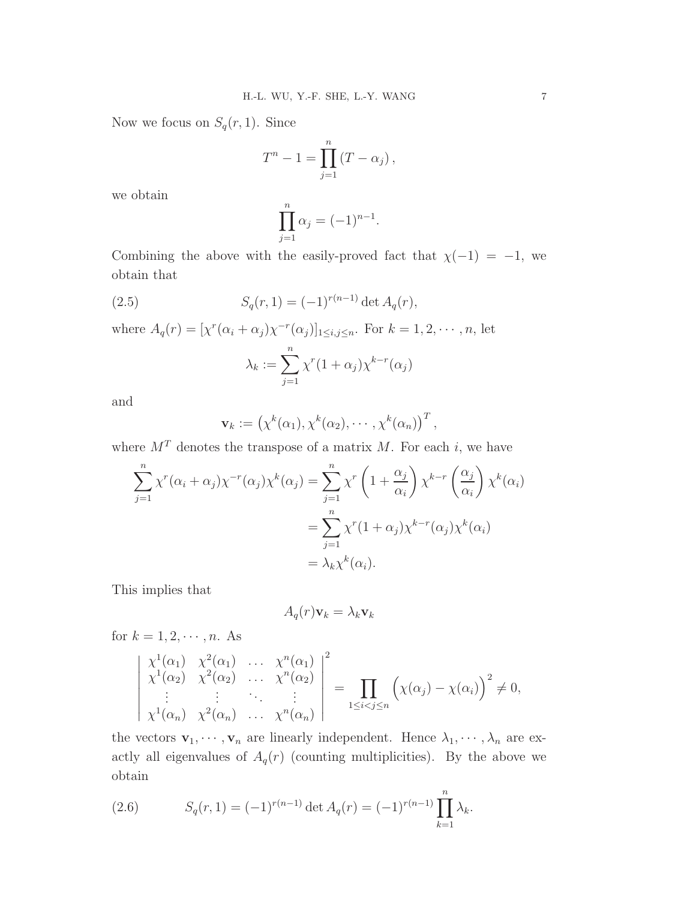Now we focus on  $S_q(r, 1)$ . Since

$$
T^{n}-1=\prod_{j=1}^{n}\left(T-\alpha_{j}\right),
$$

we obtain

$$
\prod_{j=1}^n \alpha_j = (-1)^{n-1}.
$$

Combining the above with the easily-proved fact that  $\chi(-1) = -1$ , we obtain that

(2.5) 
$$
S_q(r, 1) = (-1)^{r(n-1)} \det A_q(r),
$$

where  $A_q(r) = [\chi^r(\alpha_i + \alpha_j)\chi^{-r}(\alpha_j)]_{1 \leq i,j \leq n}$ . For  $k = 1, 2, \dots, n$ , let

$$
\lambda_k := \sum_{j=1}^n \chi^r (1 + \alpha_j) \chi^{k-r}(\alpha_j)
$$

and

$$
\mathbf{v}_k := \left(\chi^k(\alpha_1), \chi^k(\alpha_2), \cdots, \chi^k(\alpha_n)\right)^T,
$$

where  $M<sup>T</sup>$  denotes the transpose of a matrix M. For each i, we have

$$
\sum_{j=1}^{n} \chi^{r}(\alpha_{i} + \alpha_{j}) \chi^{-r}(\alpha_{j}) \chi^{k}(\alpha_{j}) = \sum_{j=1}^{n} \chi^{r} \left(1 + \frac{\alpha_{j}}{\alpha_{i}}\right) \chi^{k-r} \left(\frac{\alpha_{j}}{\alpha_{i}}\right) \chi^{k}(\alpha_{i})
$$

$$
= \sum_{j=1}^{n} \chi^{r} (1 + \alpha_{j}) \chi^{k-r}(\alpha_{j}) \chi^{k}(\alpha_{i})
$$

$$
= \lambda_{k} \chi^{k}(\alpha_{i}).
$$

This implies that

$$
A_q(r)\mathbf{v}_k = \lambda_k \mathbf{v}_k
$$

for  $k = 1, 2, \dots, n$ . As

$$
\begin{vmatrix} \chi^1(\alpha_1) & \chi^2(\alpha_1) & \dots & \chi^n(\alpha_1) \\ \chi^1(\alpha_2) & \chi^2(\alpha_2) & \dots & \chi^n(\alpha_2) \\ \vdots & \vdots & \ddots & \vdots \\ \chi^1(\alpha_n) & \chi^2(\alpha_n) & \dots & \chi^n(\alpha_n) \end{vmatrix}^2 = \prod_{1 \leq i < j \leq n} \left( \chi(\alpha_j) - \chi(\alpha_i) \right)^2 \neq 0,
$$

the vectors  $\mathbf{v}_1, \dots, \mathbf{v}_n$  are linearly independent. Hence  $\lambda_1, \dots, \lambda_n$  are exactly all eigenvalues of  $A_q(r)$  (counting multiplicities). By the above we obtain

(2.6) 
$$
S_q(r, 1) = (-1)^{r(n-1)} \det A_q(r) = (-1)^{r(n-1)} \prod_{k=1}^n \lambda_k.
$$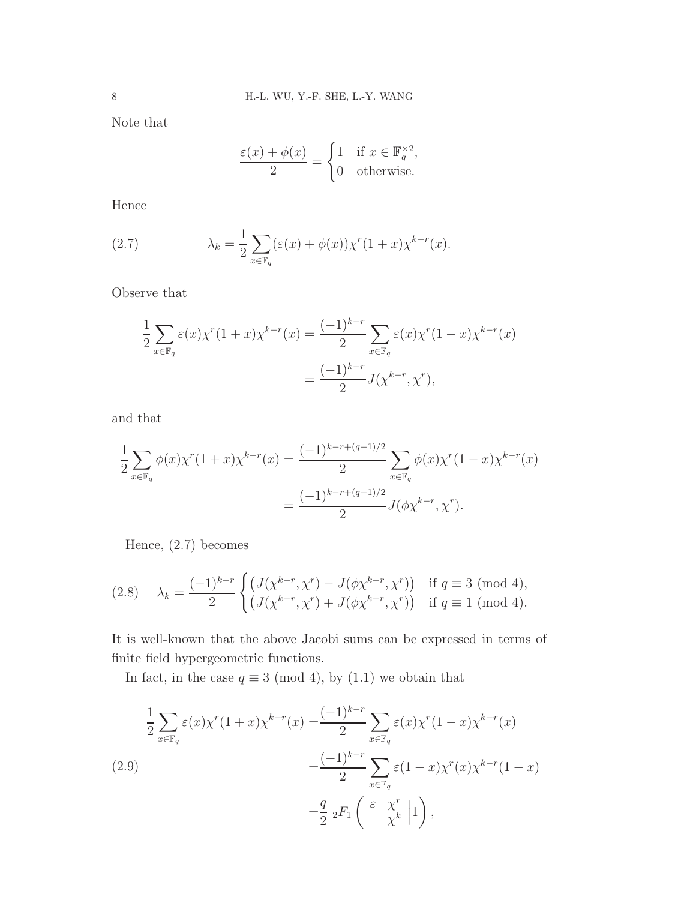Note that

$$
\frac{\varepsilon(x) + \phi(x)}{2} = \begin{cases} 1 & \text{if } x \in \mathbb{F}_q^{\times 2}, \\ 0 & \text{otherwise.} \end{cases}
$$

Hence

(2.7) 
$$
\lambda_k = \frac{1}{2} \sum_{x \in \mathbb{F}_q} (\varepsilon(x) + \phi(x)) \chi^r (1+x) \chi^{k-r}(x).
$$

Observe that

$$
\frac{1}{2} \sum_{x \in \mathbb{F}_q} \varepsilon(x) \chi^r(1+x) \chi^{k-r}(x) = \frac{(-1)^{k-r}}{2} \sum_{x \in \mathbb{F}_q} \varepsilon(x) \chi^r(1-x) \chi^{k-r}(x)
$$

$$
= \frac{(-1)^{k-r}}{2} J(\chi^{k-r}, \chi^r),
$$

and that

$$
\frac{1}{2} \sum_{x \in \mathbb{F}_q} \phi(x) \chi^r (1+x) \chi^{k-r}(x) = \frac{(-1)^{k-r+(q-1)/2}}{2} \sum_{x \in \mathbb{F}_q} \phi(x) \chi^r (1-x) \chi^{k-r}(x)
$$

$$
= \frac{(-1)^{k-r+(q-1)/2}}{2} J(\phi \chi^{k-r}, \chi^r).
$$

Hence, (2.7) becomes

$$
(2.8) \quad \lambda_k = \frac{(-1)^{k-r}}{2} \begin{cases} \left(J(\chi^{k-r}, \chi^r) - J(\phi \chi^{k-r}, \chi^r)\right) & \text{if } q \equiv 3 \pmod{4}, \\ \left(J(\chi^{k-r}, \chi^r) + J(\phi \chi^{k-r}, \chi^r)\right) & \text{if } q \equiv 1 \pmod{4}. \end{cases}
$$

It is well-known that the above Jacobi sums can be expressed in terms of finite field hypergeometric functions.

In fact, in the case  $q \equiv 3 \pmod{4}$ , by (1.1) we obtain that

(2.9)  
\n
$$
\frac{1}{2} \sum_{x \in \mathbb{F}_q} \varepsilon(x) \chi^r (1+x) \chi^{k-r}(x) = \frac{(-1)^{k-r}}{2} \sum_{x \in \mathbb{F}_q} \varepsilon(x) \chi^r (1-x) \chi^{k-r}(x)
$$
\n
$$
= \frac{(-1)^{k-r}}{2} \sum_{x \in \mathbb{F}_q} \varepsilon(1-x) \chi^r(x) \chi^{k-r}(1-x)
$$
\n
$$
= \frac{q}{2} \,_2F_1 \left( \begin{array}{cc} \varepsilon & \chi^r \\ \chi^k & \end{array} \middle| 1 \right),
$$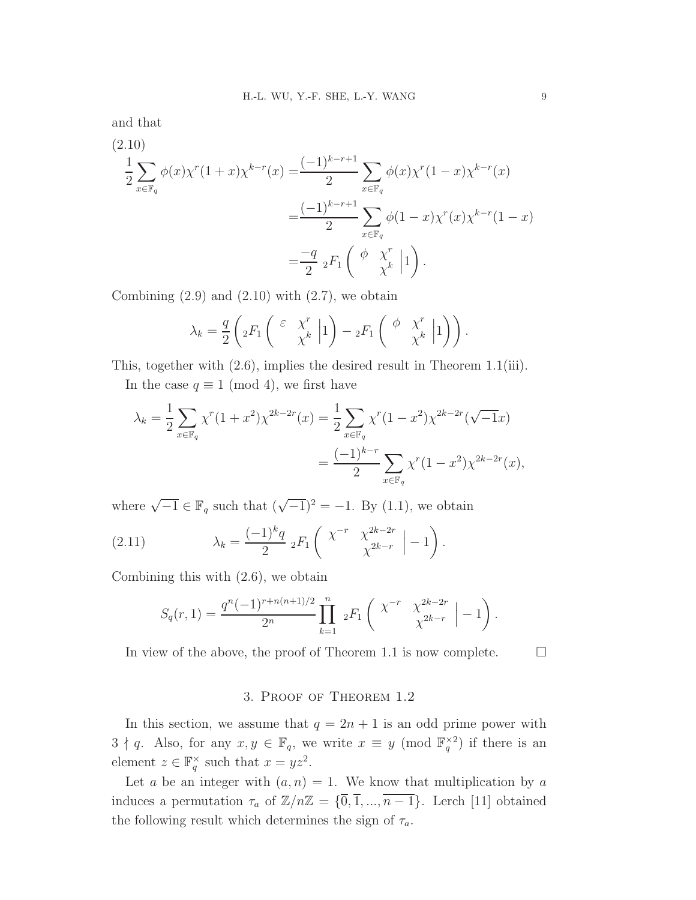and that

(2.10)  
\n
$$
\frac{1}{2} \sum_{x \in \mathbb{F}_q} \phi(x) \chi^r (1+x) \chi^{k-r}(x) = \frac{(-1)^{k-r+1}}{2} \sum_{x \in \mathbb{F}_q} \phi(x) \chi^r (1-x) \chi^{k-r}(x)
$$
\n
$$
= \frac{(-1)^{k-r+1}}{2} \sum_{x \in \mathbb{F}_q} \phi(1-x) \chi^r(x) \chi^{k-r}(1-x)
$$
\n
$$
= \frac{-q}{2} \,_2F_1 \left( \begin{array}{c} \phi & \chi^r \\ \chi^k & \end{array} \middle| 1 \right).
$$

Combining  $(2.9)$  and  $(2.10)$  with  $(2.7)$ , we obtain

$$
\lambda_k = \frac{q}{2} \left( {}_2F_1 \left( \begin{array}{c} \varepsilon & \chi^r \\ \chi^k & 1 \end{array} \right) - {}_2F_1 \left( \begin{array}{cc} \phi & \chi^r \\ \chi^k & 1 \end{array} \right) \right).
$$

This, together with (2.6), implies the desired result in Theorem 1.1(iii).

In the case  $q \equiv 1 \pmod{4}$ , we first have

$$
\lambda_k = \frac{1}{2} \sum_{x \in \mathbb{F}_q} \chi^r (1+x^2) \chi^{2k-2r}(x) = \frac{1}{2} \sum_{x \in \mathbb{F}_q} \chi^r (1-x^2) \chi^{2k-2r} (\sqrt{-1}x)
$$
  
= 
$$
\frac{(-1)^{k-r}}{2} \sum_{x \in \mathbb{F}_q} \chi^r (1-x^2) \chi^{2k-2r}(x),
$$

where  $\sqrt{-1} \in \mathbb{F}_q$  such that  $(\sqrt{-1})^2 = -1$ . By (1.1), we obtain

(2.11) 
$$
\lambda_k = \frac{(-1)^k q}{2} {}_2F_1 \left( \begin{array}{cc} \chi^{-r} & \chi^{2k-2r} \\ \chi^{2k-r} & \chi^{-2k-r} \end{array} \Big| -1 \right).
$$

Combining this with (2.6), we obtain

$$
S_q(r,1) = \frac{q^n(-1)^{r+n(n+1)/2}}{2^n} \prod_{k=1}^n 2F_1\left(\begin{array}{cc} \chi^{-r} & \chi^{2k-2r} \\ \chi^{2k-r} & \chi^{-2k-r} \end{array} \bigg| -1\right).
$$

In view of the above, the proof of Theorem 1.1 is now complete.  $\Box$ 

## 3. Proof of Theorem 1.2

In this section, we assume that  $q = 2n + 1$  is an odd prime power with  $3 \nmid q$ . Also, for any  $x, y \in \mathbb{F}_q$ , we write  $x \equiv y \pmod{\mathbb{F}_q^{\times 2}}$  if there is an element  $z \in \mathbb{F}_q^{\times}$  such that  $x = yz^2$ .

Let a be an integer with  $(a, n) = 1$ . We know that multiplication by a induces a permutation  $\tau_a$  of  $\mathbb{Z}/n\mathbb{Z} = {\overline{0}, \overline{1}, ..., \overline{n-1}}$ . Lerch [11] obtained the following result which determines the sign of  $\tau_a$ .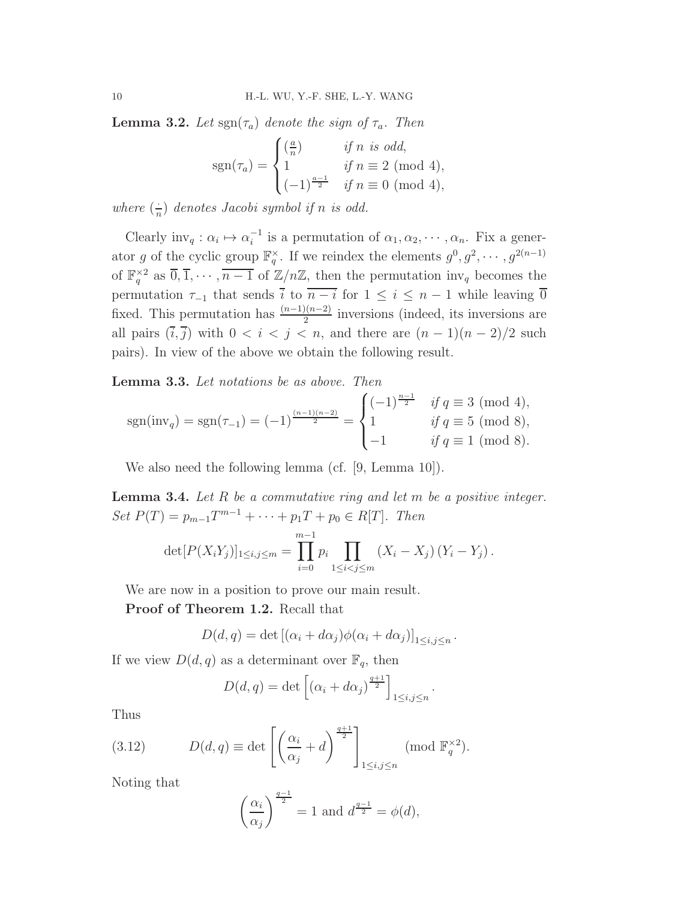**Lemma 3.2.** Let  $\text{sgn}(\tau_a)$  denote the sign of  $\tau_a$ . Then

$$
sgn(\tau_a) = \begin{cases} \left(\frac{a}{n}\right) & \text{if } n \text{ is odd,} \\ 1 & \text{if } n \equiv 2 \pmod{4,} \\ (-1)^{\frac{a-1}{2}} & \text{if } n \equiv 0 \pmod{4,} \end{cases}
$$

where  $\left(\frac{1}{n}\right)$  $\frac{1}{n}$ ) denotes Jacobi symbol if n is odd.

Clearly  $\text{inv}_q : \alpha_i \mapsto \alpha_i^{-1}$  $i<sup>-1</sup>$  is a permutation of  $\alpha_1, \alpha_2, \cdots, \alpha_n$ . Fix a generator g of the cyclic group  $\mathbb{F}_q^{\times}$ . If we reindex the elements  $g^0, g^2, \cdots, g^{2(n-1)}$ of  $\mathbb{F}_q^{\times 2}$  as  $\overline{0}, \overline{1}, \cdots, \overline{n-1}$  of  $\mathbb{Z}/n\mathbb{Z}$ , then the permutation  $\text{inv}_q$  becomes the permutation  $\tau_{-1}$  that sends  $\bar{i}$  to  $\overline{n-i}$  for  $1 \leq i \leq n-1$  while leaving  $\bar{0}$ fixed. This permutation has  $\frac{(n-1)(n-2)}{2}$  inversions (indeed, its inversions are all pairs  $(\overline{i}, \overline{j})$  with  $0 < i < j < n$ , and there are  $(n-1)(n-2)/2$  such pairs). In view of the above we obtain the following result.

Lemma 3.3. Let notations be as above. Then

$$
sgn(inv_q) = sgn(\tau_{-1}) = (-1)^{\frac{(n-1)(n-2)}{2}} = \begin{cases} (-1)^{\frac{n-1}{2}} & \text{if } q \equiv 3 \pmod{4}, \\ 1 & \text{if } q \equiv 5 \pmod{8}, \\ -1 & \text{if } q \equiv 1 \pmod{8}. \end{cases}
$$

We also need the following lemma (cf. [9, Lemma 10]).

**Lemma 3.4.** Let  $R$  be a commutative ring and let  $m$  be a positive integer. Set  $P(T) = p_{m-1}T^{m-1} + \cdots + p_1T + p_0 \in R[T]$ . Then

$$
\det[P(X_iY_j)]_{1\leq i,j\leq m} = \prod_{i=0}^{m-1} p_i \prod_{1\leq i < j \leq m} (X_i - X_j) (Y_i - Y_j).
$$

We are now in a position to prove our main result.

Proof of Theorem 1.2. Recall that

$$
D(d,q) = \det [(\alpha_i + d\alpha_j)\phi(\alpha_i + d\alpha_j)]_{1 \leq i,j \leq n}.
$$

If we view  $D(d, q)$  as a determinant over  $\mathbb{F}_q$ , then

$$
D(d, q) = \det \left[ \left( \alpha_i + d\alpha_j \right)^{\frac{q+1}{2}} \right]_{1 \le i, j \le n}
$$

.

Thus

(3.12) 
$$
D(d,q) \equiv \det \left[ \left( \frac{\alpha_i}{\alpha_j} + d \right)^{\frac{q+1}{2}} \right]_{1 \le i,j \le n} \pmod{\mathbb{F}_q^{\times 2}}.
$$

Noting that

$$
\left(\frac{\alpha_i}{\alpha_j}\right)^{\frac{q-1}{2}} = 1
$$
 and 
$$
d^{\frac{q-1}{2}} = \phi(d),
$$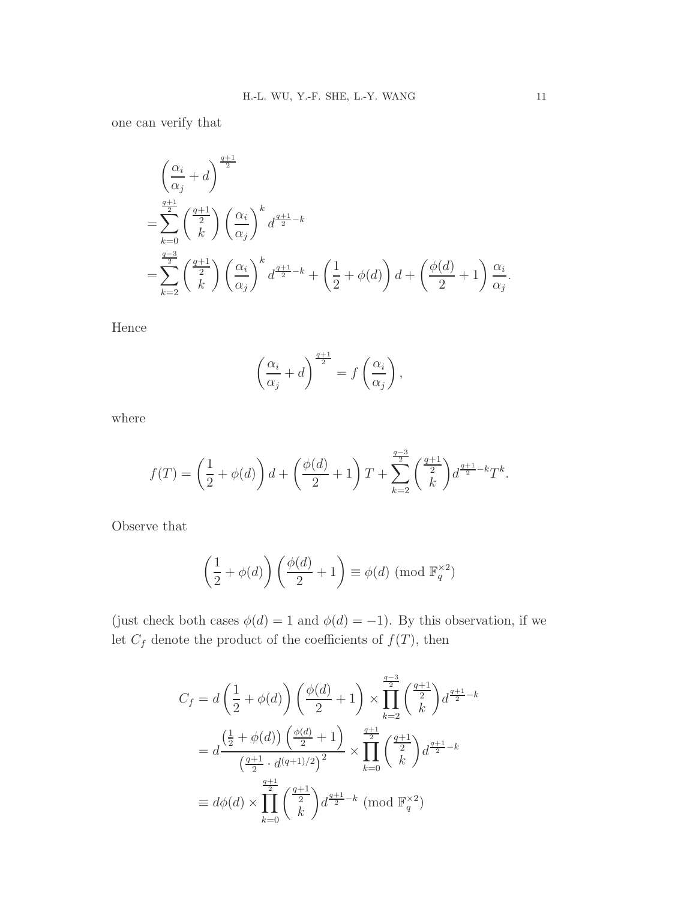one can verify that

$$
\left(\frac{\alpha_i}{\alpha_j} + d\right)^{\frac{q+1}{2}}
$$
\n
$$
= \sum_{k=0}^{\frac{q+1}{2}} \binom{\frac{q+1}{2}}{k} \left(\frac{\alpha_i}{\alpha_j}\right)^k d^{\frac{q+1}{2}-k}
$$
\n
$$
= \sum_{k=2}^{\frac{q-3}{2}} \binom{\frac{q+1}{2}}{k} \left(\frac{\alpha_i}{\alpha_j}\right)^k d^{\frac{q+1}{2}-k} + \left(\frac{1}{2} + \phi(d)\right) d + \left(\frac{\phi(d)}{2} + 1\right) \frac{\alpha_i}{\alpha_j}.
$$

Hence

$$
\left(\frac{\alpha_i}{\alpha_j} + d\right)^{\frac{q+1}{2}} = f\left(\frac{\alpha_i}{\alpha_j}\right),\,
$$

where

$$
f(T) = \left(\frac{1}{2} + \phi(d)\right)d + \left(\frac{\phi(d)}{2} + 1\right)T + \sum_{k=2}^{\frac{q-3}{2}} \binom{\frac{q+1}{2}}{k} d^{\frac{q+1}{2}-k}T^k.
$$

Observe that

$$
\left(\frac{1}{2} + \phi(d)\right) \left(\frac{\phi(d)}{2} + 1\right) \equiv \phi(d) \pmod{\mathbb{F}_q^{\times 2}}
$$

(just check both cases  $\phi(d) = 1$  and  $\phi(d) = -1$ ). By this observation, if we let  $C_f$  denote the product of the coefficients of  $f(T)$ , then

$$
C_f = d\left(\frac{1}{2} + \phi(d)\right) \left(\frac{\phi(d)}{2} + 1\right) \times \prod_{k=2}^{\frac{q-3}{2}} \binom{\frac{q+1}{2}}{k} d^{\frac{q+1}{2} - k}
$$
  
=  $d\frac{\left(\frac{1}{2} + \phi(d)\right) \left(\frac{\phi(d)}{2} + 1\right)}{\left(\frac{q+1}{2} \cdot d^{(q+1)/2}\right)^2} \times \prod_{k=0}^{\frac{q+1}{2}} \binom{\frac{q+1}{2}}{k} d^{\frac{q+1}{2} - k}$   
\equiv  $d\phi(d) \times \prod_{k=0}^{\frac{q+1}{2}} \binom{\frac{q+1}{2}}{k} d^{\frac{q+1}{2} - k} \pmod{\mathbb{F}_q^{\times 2}}$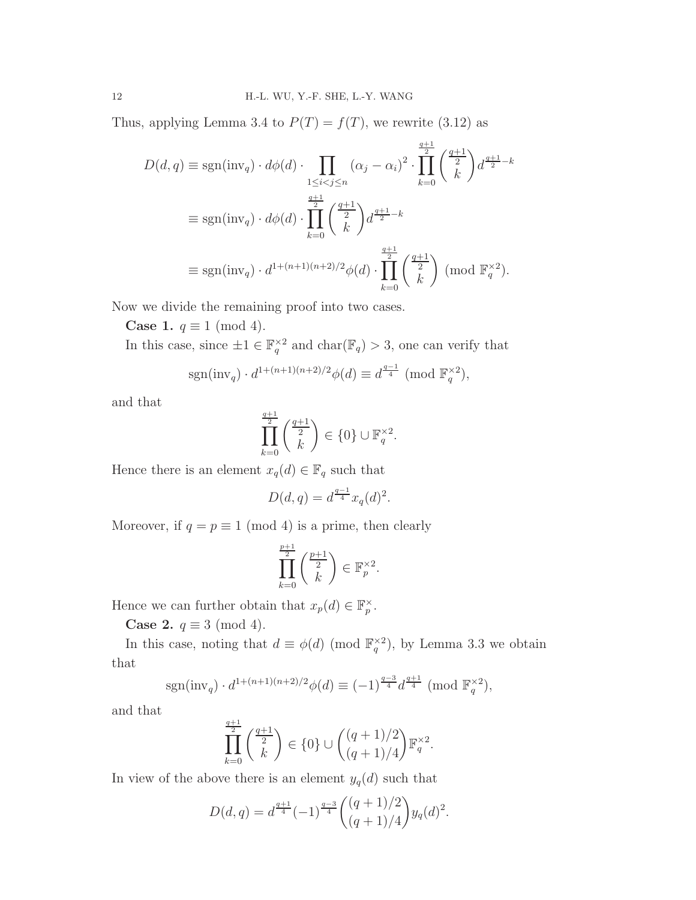Thus, applying Lemma 3.4 to  $P(T) = f(T)$ , we rewrite (3.12) as

$$
D(d, q) \equiv \text{sgn}(\text{inv}_q) \cdot d\phi(d) \cdot \prod_{1 \le i < j \le n} (\alpha_j - \alpha_i)^2 \cdot \prod_{k=0}^{\frac{q+1}{2}} {\binom{\frac{q+1}{2}}{k}} d^{\frac{q+1}{2} - k}
$$
  

$$
\equiv \text{sgn}(\text{inv}_q) \cdot d\phi(d) \cdot \prod_{k=0}^{\frac{q+1}{2}} {\binom{\frac{q+1}{2}}{k}} d^{\frac{q+1}{2} - k}
$$
  

$$
\equiv \text{sgn}(\text{inv}_q) \cdot d^{1 + (n+1)(n+2)/2} \phi(d) \cdot \prod_{k=0}^{\frac{q+1}{2}} {\binom{\frac{q+1}{2}}{k}} (\text{mod } \mathbb{F}_q^{\times 2}).
$$

Now we divide the remaining proof into two cases.

Case 1.  $q \equiv 1 \pmod{4}$ .

In this case, since  $\pm 1 \in \mathbb{F}_q^{\times 2}$  and  $char(\mathbb{F}_q) > 3$ , one can verify that

$$
\operatorname{sgn}(\operatorname{inv}_q) \cdot d^{1 + (n+1)(n+2)/2} \phi(d) \equiv d^{\frac{q-1}{4}} \pmod{\mathbb{F}_q^{\times 2}},
$$

and that

$$
\prod_{k=0}^{\frac{q+1}{2}} \binom{\frac{q+1}{2}}{k} \in \{0\} \cup \mathbb{F}_q^{\times 2}.
$$

Hence there is an element  $x_q(d) \in \mathbb{F}_q$  such that

$$
D(d, q) = d^{\frac{q-1}{4}} x_q(d)^2.
$$

Moreover, if  $q = p \equiv 1 \pmod{4}$  is a prime, then clearly

$$
\prod_{k=0}^{\frac{p+1}{2}} \binom{\frac{p+1}{2}}{k} \in \mathbb{F}_p^{\times 2}.
$$

Hence we can further obtain that  $x_p(d) \in \mathbb{F}_p^{\times}$ .

Case 2.  $q \equiv 3 \pmod{4}$ .

In this case, noting that  $d \equiv \phi(d) \pmod{\mathbb{F}_q^{\times 2}}$ , by Lemma 3.3 we obtain that

$$
sgn(\text{inv}_q) \cdot d^{1+(n+1)(n+2)/2} \phi(d) \equiv (-1)^{\frac{q-3}{4}} d^{\frac{q+1}{4}} \pmod{\mathbb{F}_q^{\times 2}},
$$

and that

$$
\prod_{k=0}^{\frac{q+1}{2}} \binom{\frac{q+1}{2}}{k} \in \{0\} \cup \binom{(q+1)/2}{(q+1)/4} \mathbb{F}_q^{\times 2}.
$$

In view of the above there is an element  $y_q(d)$  such that

$$
D(d,q) = d^{\frac{q+1}{4}}(-1)^{\frac{q-3}{4}} \binom{(q+1)/2}{(q+1)/4} y_q(d)^2.
$$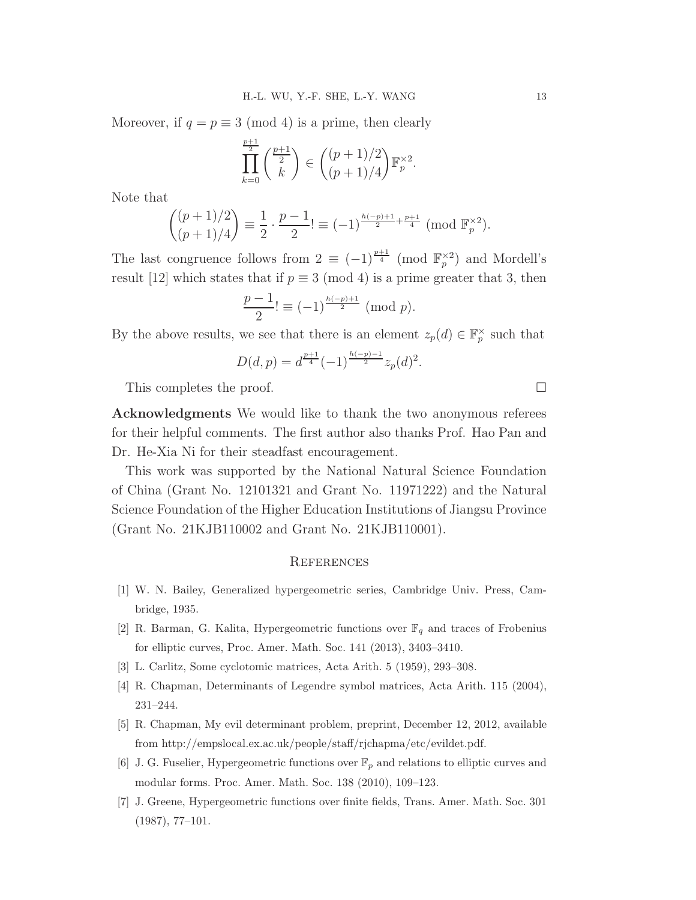Moreover, if  $q = p \equiv 3 \pmod{4}$  is a prime, then clearly

$$
\prod_{k=0}^{\frac{p+1}{2}} {\binom{\frac{p+1}{2}}{k}} \in {\binom{(p+1)/2}{(p+1)/4}} \mathbb{F}_p^{\times 2}.
$$

Note that

$$
\binom{(p+1)/2}{(p+1)/4} \equiv \frac{1}{2} \cdot \frac{p-1}{2!} \equiv (-1)^{\frac{h(-p)+1}{2} + \frac{p+1}{4}} \pmod{\mathbb{F}_p^{\times 2}}.
$$

The last congruence follows from  $2 \equiv (-1)^{\frac{p+1}{4}} \pmod{\mathbb{F}_p^{\times 2}}$  and Mordell's result [12] which states that if  $p \equiv 3 \pmod{4}$  is a prime greater that 3, then

$$
\frac{p-1}{2}! \equiv (-1)^{\frac{h(-p)+1}{2}} \pmod{p}.
$$

By the above results, we see that there is an element  $z_p(d) \in \mathbb{F}_p^{\times}$  such that

$$
D(d, p) = d^{\frac{p+1}{4}} (-1)^{\frac{h(-p)-1}{2}} z_p(d)^2.
$$

This completes the proof.

Acknowledgments We would like to thank the two anonymous referees for their helpful comments. The first author also thanks Prof. Hao Pan and Dr. He-Xia Ni for their steadfast encouragement.

This work was supported by the National Natural Science Foundation of China (Grant No. 12101321 and Grant No. 11971222) and the Natural Science Foundation of the Higher Education Institutions of Jiangsu Province (Grant No. 21KJB110002 and Grant No. 21KJB110001).

#### **REFERENCES**

- [1] W. N. Bailey, Generalized hypergeometric series, Cambridge Univ. Press, Cambridge, 1935.
- [2] R. Barman, G. Kalita, Hypergeometric functions over  $\mathbb{F}_q$  and traces of Frobenius for elliptic curves, Proc. Amer. Math. Soc. 141 (2013), 3403–3410.
- [3] L. Carlitz, Some cyclotomic matrices, Acta Arith. 5 (1959), 293–308.
- [4] R. Chapman, Determinants of Legendre symbol matrices, Acta Arith. 115 (2004), 231–244.
- [5] R. Chapman, My evil determinant problem, preprint, December 12, 2012, available from http://empslocal.ex.ac.uk/people/staff/rjchapma/etc/evildet.pdf.
- [6] J. G. Fuselier, Hypergeometric functions over  $\mathbb{F}_p$  and relations to elliptic curves and modular forms. Proc. Amer. Math. Soc. 138 (2010), 109–123.
- [7] J. Greene, Hypergeometric functions over finite fields, Trans. Amer. Math. Soc. 301 (1987), 77–101.